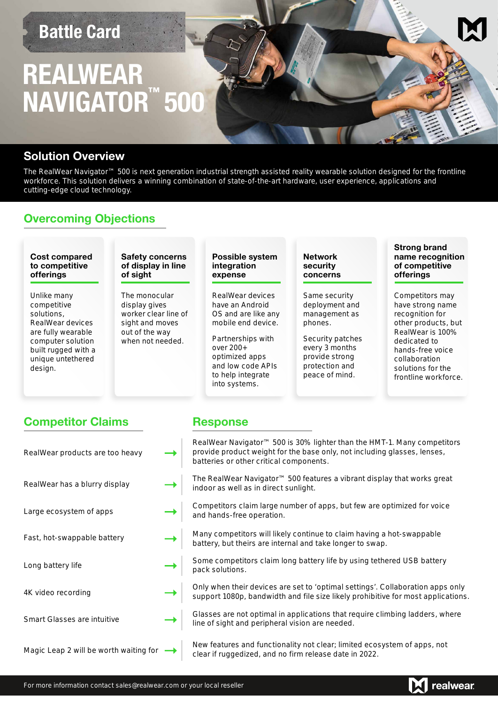## **Battle Card**

# **REALWEAR NAVIGATOR 500 ™**

#### **Solution Overview**

The RealWear Navigator™ 500 is next generation industrial strength assisted reality wearable solution designed for the frontline workforce. This solution delivers a winning combination of state-of-the-art hardware, user experience, applications and cutting-edge cloud technology.

### **Overcoming Objections**



### **Competitor Claims Response**

| RealWear products are too heavy        | RealWear Navigator™ 500 is 30% lighter than the HMT-1. Many competitors<br>provide product weight for the base only, not including glasses, lenses,<br>batteries or other critical components. |
|----------------------------------------|------------------------------------------------------------------------------------------------------------------------------------------------------------------------------------------------|
| RealWear has a blurry display          | The RealWear Navigator <sup>™</sup> 500 features a vibrant display that works great<br>indoor as well as in direct sunlight.                                                                   |
| Large ecosystem of apps                | Competitors claim large number of apps, but few are optimized for voice<br>and hands-free operation.                                                                                           |
| Fast, hot-swappable battery            | Many competitors will likely continue to claim having a hot-swappable<br>battery, but theirs are internal and take longer to swap.                                                             |
| Long battery life                      | Some competitors claim long battery life by using tethered USB battery<br>pack solutions.                                                                                                      |
| 4K video recording                     | Only when their devices are set to 'optimal settings'. Collaboration apps only<br>support 1080p, bandwidth and file size likely prohibitive for most applications.                             |
| <b>Smart Glasses are intuitive</b>     | Glasses are not optimal in applications that require climbing ladders, where<br>line of sight and peripheral vision are needed.                                                                |
| Magic Leap 2 will be worth waiting for | New features and functionality not clear; limited ecosystem of apps, not<br>clear if ruggedized, and no firm release date in 2022.                                                             |